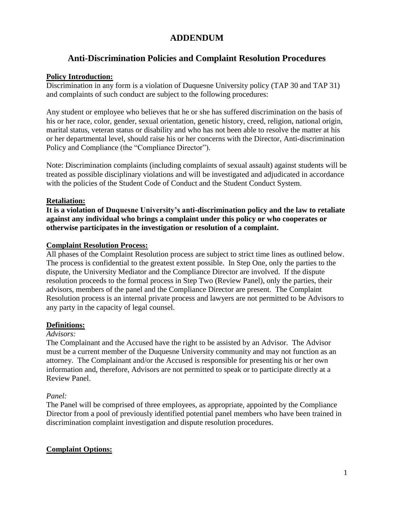# **ADDENDUM**

# **Anti-Discrimination Policies and Complaint Resolution Procedures**

### **Policy Introduction:**

Discrimination in any form is a violation of Duquesne University policy (TAP 30 and TAP 31) and complaints of such conduct are subject to the following procedures:

Any student or employee who believes that he or she has suffered discrimination on the basis of his or her race, color, gender, sexual orientation, genetic history, creed, religion, national origin, marital status, veteran status or disability and who has not been able to resolve the matter at his or her departmental level, should raise his or her concerns with the Director, Anti-discrimination Policy and Compliance (the "Compliance Director").

Note: Discrimination complaints (including complaints of sexual assault) against students will be treated as possible disciplinary violations and will be investigated and adjudicated in accordance with the policies of the Student Code of Conduct and the Student Conduct System.

# **Retaliation:**

**It is a violation of Duquesne University's anti-discrimination policy and the law to retaliate against any individual who brings a complaint under this policy or who cooperates or otherwise participates in the investigation or resolution of a complaint.**

#### **Complaint Resolution Process:**

All phases of the Complaint Resolution process are subject to strict time lines as outlined below. The process is confidential to the greatest extent possible. In Step One, only the parties to the dispute, the University Mediator and the Compliance Director are involved. If the dispute resolution proceeds to the formal process in Step Two (Review Panel), only the parties, their advisors, members of the panel and the Compliance Director are present. The Complaint Resolution process is an internal private process and lawyers are not permitted to be Advisors to any party in the capacity of legal counsel.

# **Definitions:**

### *Advisors:*

The Complainant and the Accused have the right to be assisted by an Advisor. The Advisor must be a current member of the Duquesne University community and may not function as an attorney. The Complainant and/or the Accused is responsible for presenting his or her own information and, therefore, Advisors are not permitted to speak or to participate directly at a Review Panel.

# *Panel:*

The Panel will be comprised of three employees, as appropriate, appointed by the Compliance Director from a pool of previously identified potential panel members who have been trained in discrimination complaint investigation and dispute resolution procedures.

# **Complaint Options:**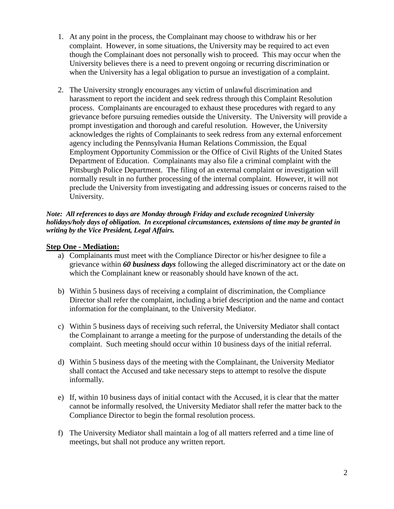- 1. At any point in the process, the Complainant may choose to withdraw his or her complaint. However, in some situations, the University may be required to act even though the Complainant does not personally wish to proceed. This may occur when the University believes there is a need to prevent ongoing or recurring discrimination or when the University has a legal obligation to pursue an investigation of a complaint.
- 2. The University strongly encourages any victim of unlawful discrimination and harassment to report the incident and seek redress through this Complaint Resolution process. Complainants are encouraged to exhaust these procedures with regard to any grievance before pursuing remedies outside the University. The University will provide a prompt investigation and thorough and careful resolution. However, the University acknowledges the rights of Complainants to seek redress from any external enforcement agency including the Pennsylvania Human Relations Commission, the Equal Employment Opportunity Commission or the Office of Civil Rights of the United States Department of Education. Complainants may also file a criminal complaint with the Pittsburgh Police Department. The filing of an external complaint or investigation will normally result in no further processing of the internal complaint. However, it will not preclude the University from investigating and addressing issues or concerns raised to the University.

#### *Note: All references to days are Monday through Friday and exclude recognized University holidays/holy days of obligation. In exceptional circumstances, extensions of time may be granted in writing by the Vice President, Legal Affairs.*

# **Step One - Mediation:**

- a) Complainants must meet with the Compliance Director or his/her designee to file a grievance within *60 business days* following the alleged discriminatory act or the date on which the Complainant knew or reasonably should have known of the act.
- b) Within 5 business days of receiving a complaint of discrimination, the Compliance Director shall refer the complaint, including a brief description and the name and contact information for the complainant, to the University Mediator.
- c) Within 5 business days of receiving such referral, the University Mediator shall contact the Complainant to arrange a meeting for the purpose of understanding the details of the complaint. Such meeting should occur within 10 business days of the initial referral.
- d) Within 5 business days of the meeting with the Complainant, the University Mediator shall contact the Accused and take necessary steps to attempt to resolve the dispute informally.
- e) If, within 10 business days of initial contact with the Accused, it is clear that the matter cannot be informally resolved, the University Mediator shall refer the matter back to the Compliance Director to begin the formal resolution process.
- f) The University Mediator shall maintain a log of all matters referred and a time line of meetings, but shall not produce any written report.